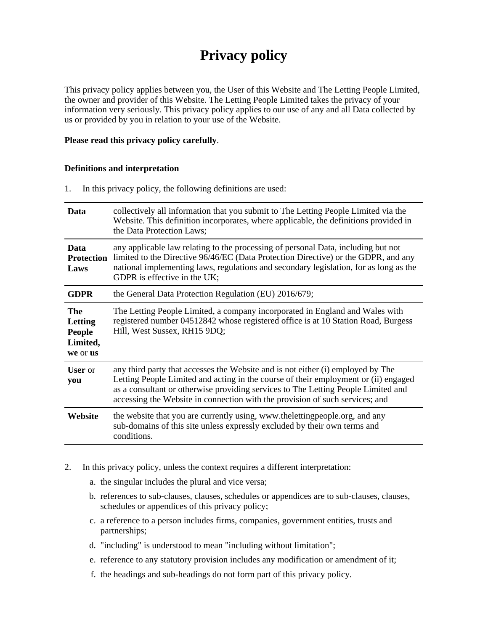# **Privacy policy**

This privacy policy applies between you, the User of this Website and The Letting People Limited, the owner and provider of this Website. The Letting People Limited takes the privacy of your information very seriously. This privacy policy applies to our use of any and all Data collected by us or provided by you in relation to your use of the Website.

### **Please read this privacy policy carefully**.

#### **Definitions and interpretation**

1. In this privacy policy, the following definitions are used:

| Data                                                    | collectively all information that you submit to The Letting People Limited via the<br>Website. This definition incorporates, where applicable, the definitions provided in<br>the Data Protection Laws;                                                                                                                                     |
|---------------------------------------------------------|---------------------------------------------------------------------------------------------------------------------------------------------------------------------------------------------------------------------------------------------------------------------------------------------------------------------------------------------|
| Data<br><b>Protection</b><br>Laws                       | any applicable law relating to the processing of personal Data, including but not<br>limited to the Directive 96/46/EC (Data Protection Directive) or the GDPR, and any<br>national implementing laws, regulations and secondary legislation, for as long as the<br>GDPR is effective in the UK;                                            |
| <b>GDPR</b>                                             | the General Data Protection Regulation (EU) 2016/679;                                                                                                                                                                                                                                                                                       |
| The<br>Letting<br><b>People</b><br>Limited,<br>we or us | The Letting People Limited, a company incorporated in England and Wales with<br>registered number 04512842 whose registered office is at 10 Station Road, Burgess<br>Hill, West Sussex, RH15 9DQ;                                                                                                                                           |
| <b>User</b> or<br>you                                   | any third party that accesses the Website and is not either (i) employed by The<br>Letting People Limited and acting in the course of their employment or (ii) engaged<br>as a consultant or otherwise providing services to The Letting People Limited and<br>accessing the Website in connection with the provision of such services; and |
| Website                                                 | the website that you are currently using, www.thelettingpeople.org, and any<br>sub-domains of this site unless expressly excluded by their own terms and<br>conditions.                                                                                                                                                                     |

- 2. In this privacy policy, unless the context requires a different interpretation:
	- a. the singular includes the plural and vice versa;
	- b. references to sub-clauses, clauses, schedules or appendices are to sub-clauses, clauses, schedules or appendices of this privacy policy;
	- c. a reference to a person includes firms, companies, government entities, trusts and partnerships;
	- d. "including" is understood to mean "including without limitation";
	- e. reference to any statutory provision includes any modification or amendment of it;
	- f. the headings and sub-headings do not form part of this privacy policy.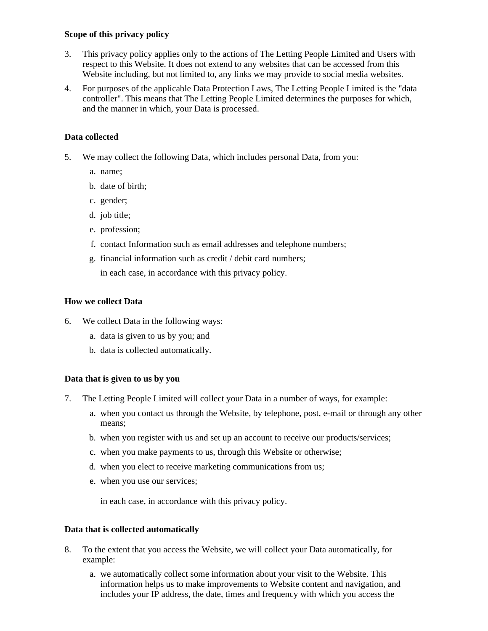# **Scope of this privacy policy**

- 3. This privacy policy applies only to the actions of The Letting People Limited and Users with respect to this Website. It does not extend to any websites that can be accessed from this Website including, but not limited to, any links we may provide to social media websites.
- 4. For purposes of the applicable Data Protection Laws, The Letting People Limited is the "data controller". This means that The Letting People Limited determines the purposes for which, and the manner in which, your Data is processed.

# **Data collected**

- 5. We may collect the following Data, which includes personal Data, from you:
	- a. name;
	- b. date of birth;
	- c. gender;
	- d. job title;
	- e. profession;
	- f. contact Information such as email addresses and telephone numbers;
	- g. financial information such as credit / debit card numbers;
		- in each case, in accordance with this privacy policy.

# **How we collect Data**

- 6. We collect Data in the following ways:
	- a. data is given to us by you; and
	- b. data is collected automatically.

# **Data that is given to us by you**

- 7. The Letting People Limited will collect your Data in a number of ways, for example:
	- a. when you contact us through the Website, by telephone, post, e-mail or through any other means;
	- b. when you register with us and set up an account to receive our products/services;
	- c. when you make payments to us, through this Website or otherwise;
	- d. when you elect to receive marketing communications from us;
	- e. when you use our services;

in each case, in accordance with this privacy policy.

# **Data that is collected automatically**

- 8. To the extent that you access the Website, we will collect your Data automatically, for example:
	- a. we automatically collect some information about your visit to the Website. This information helps us to make improvements to Website content and navigation, and includes your IP address, the date, times and frequency with which you access the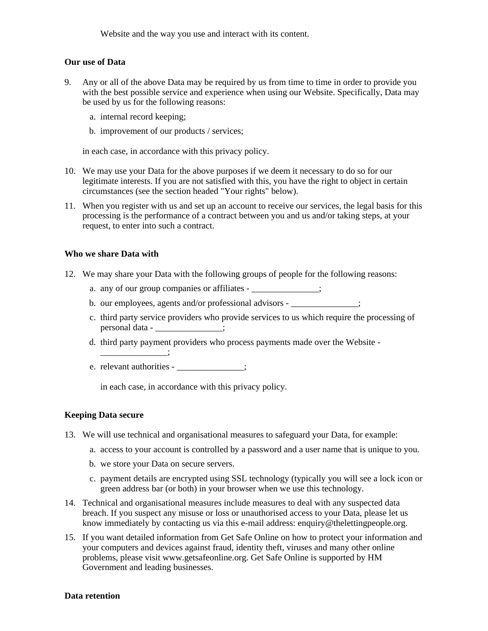Website and the way you use and interact with its content.

#### **Our use of Data**

- 9. Any or all of the above Data may be required by us from time to time in order to provide you with the best possible service and experience when using our Website. Specifically, Data may be used by us for the following reasons:
	- a. internal record keeping;
	- b. improvement of our products / services;

in each case, in accordance with this privacy policy.

- 10. We may use your Data for the above purposes if we deem it necessary to do so for our legitimate interests. If you are not satisfied with this, you have the right to object in certain circumstances (see the section headed "Your rights" below).
- 11. When you register with us and set up an account to receive our services, the legal basis for this processing is the performance of a contract between you and us and/or taking steps, at your request, to enter into such a contract.

#### **Who we share Data with**

- 12. We may share your Data with the following groups of people for the following reasons:
	- a. any of our group companies or affiliates \_\_\_\_\_\_\_\_\_\_\_\_\_\_;
	- b. our employees, agents and/or professional advisors \_\_\_\_\_\_\_\_\_\_\_\_\_;
	- c. third party service providers who provide services to us which require the processing of personal data - \_\_\_\_\_\_\_\_\_\_\_\_\_;
	- d. third party payment providers who process payments made over the Website -
	- e. relevant authorities \_\_\_\_\_\_\_\_\_\_\_\_;

\_\_\_\_\_\_\_\_\_\_\_\_\_\_\_;

in each case, in accordance with this privacy policy.

#### **Keeping Data secure**

- 13. We will use technical and organisational measures to safeguard your Data, for example:
	- a. access to your account is controlled by a password and a user name that is unique to you.
	- b. we store your Data on secure servers.
	- c. payment details are encrypted using SSL technology (typically you will see a lock icon or green address bar (or both) in your browser when we use this technology.
- 14. Technical and organisational measures include measures to deal with any suspected data breach. If you suspect any misuse or loss or unauthorised access to your Data, please let us know immediately by contacting us via this e-mail address: enquiry@thelettingpeople.org.
- 15. If you want detailed information from Get Safe Online on how to protect your information and your computers and devices against fraud, identity theft, viruses and many other online problems, please visit www.getsafeonline.org. Get Safe Online is supported by HM Government and leading businesses.

# **Data retention**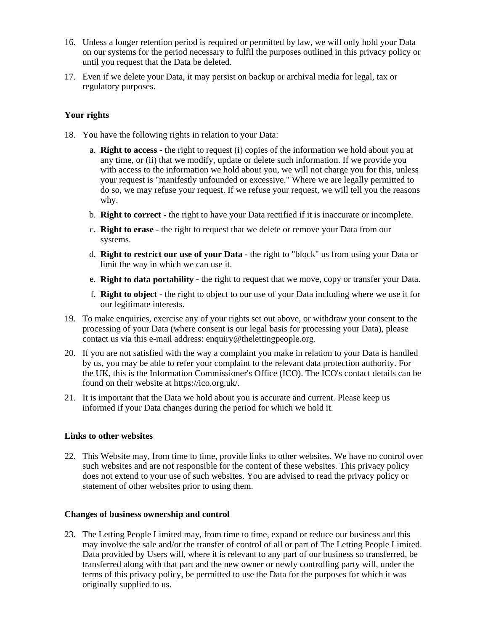- 16. Unless a longer retention period is required or permitted by law, we will only hold your Data on our systems for the period necessary to fulfil the purposes outlined in this privacy policy or until you request that the Data be deleted.
- 17. Even if we delete your Data, it may persist on backup or archival media for legal, tax or regulatory purposes.

# **Your rights**

- 18. You have the following rights in relation to your Data:
	- a. **Right to access** the right to request (i) copies of the information we hold about you at any time, or (ii) that we modify, update or delete such information. If we provide you with access to the information we hold about you, we will not charge you for this, unless your request is "manifestly unfounded or excessive." Where we are legally permitted to do so, we may refuse your request. If we refuse your request, we will tell you the reasons why.
	- b. **Right to correct** the right to have your Data rectified if it is inaccurate or incomplete.
	- c. **Right to erase** the right to request that we delete or remove your Data from our systems.
	- d. **Right to restrict our use of your Data** the right to "block" us from using your Data or limit the way in which we can use it.
	- e. **Right to data portability** the right to request that we move, copy or transfer your Data.
	- f. **Right to object** the right to object to our use of your Data including where we use it for our legitimate interests.
- 19. To make enquiries, exercise any of your rights set out above, or withdraw your consent to the processing of your Data (where consent is our legal basis for processing your Data), please contact us via this e-mail address: enquiry@thelettingpeople.org.
- 20. If you are not satisfied with the way a complaint you make in relation to your Data is handled by us, you may be able to refer your complaint to the relevant data protection authority. For the UK, this is the Information Commissioner's Office (ICO). The ICO's contact details can be found on their website at https://ico.org.uk/.
- 21. It is important that the Data we hold about you is accurate and current. Please keep us informed if your Data changes during the period for which we hold it.

# **Links to other websites**

22. This Website may, from time to time, provide links to other websites. We have no control over such websites and are not responsible for the content of these websites. This privacy policy does not extend to your use of such websites. You are advised to read the privacy policy or statement of other websites prior to using them.

#### **Changes of business ownership and control**

23. The Letting People Limited may, from time to time, expand or reduce our business and this may involve the sale and/or the transfer of control of all or part of The Letting People Limited. Data provided by Users will, where it is relevant to any part of our business so transferred, be transferred along with that part and the new owner or newly controlling party will, under the terms of this privacy policy, be permitted to use the Data for the purposes for which it was originally supplied to us.